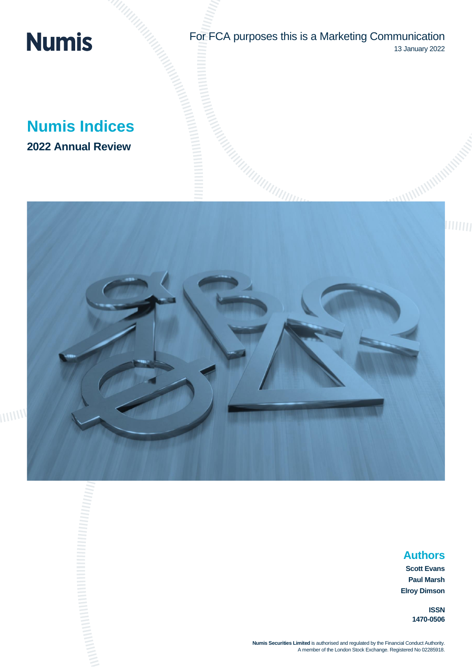# **Numis**

For FCA purposes this is a Marketing Communication 13 January 2022

**Numis Indices 2022 Annual Review**



# 

# **Authors**

**Scott Evans Paul Marsh Elroy Dimson**

> **ISSN 1470-0506**

**Numis Securities Limited** is authorised and regulated by the Financial Conduct Authority. A member of the London Stock Exchange. Registered No 02285918.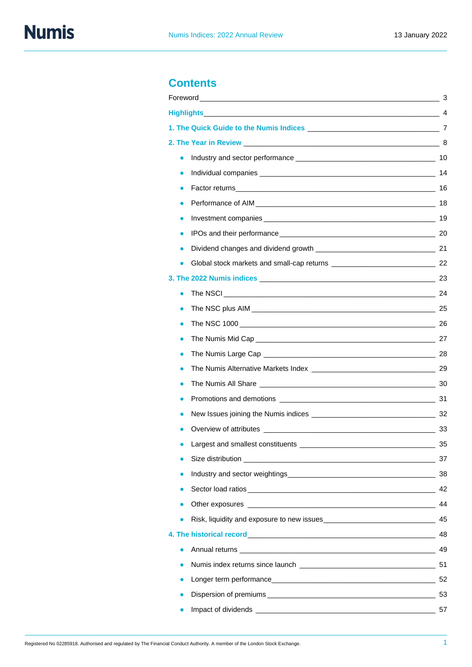# **Contents**

|                                                                                                                                                                                                                                      | 3  |
|--------------------------------------------------------------------------------------------------------------------------------------------------------------------------------------------------------------------------------------|----|
|                                                                                                                                                                                                                                      |    |
|                                                                                                                                                                                                                                      |    |
|                                                                                                                                                                                                                                      |    |
| $\bullet$                                                                                                                                                                                                                            |    |
|                                                                                                                                                                                                                                      |    |
|                                                                                                                                                                                                                                      |    |
|                                                                                                                                                                                                                                      |    |
| $\bullet$                                                                                                                                                                                                                            |    |
| $\bullet$                                                                                                                                                                                                                            |    |
|                                                                                                                                                                                                                                      |    |
|                                                                                                                                                                                                                                      |    |
|                                                                                                                                                                                                                                      |    |
| $\bullet$                                                                                                                                                                                                                            |    |
|                                                                                                                                                                                                                                      |    |
| $\bullet$                                                                                                                                                                                                                            |    |
|                                                                                                                                                                                                                                      |    |
|                                                                                                                                                                                                                                      |    |
|                                                                                                                                                                                                                                      |    |
|                                                                                                                                                                                                                                      |    |
|                                                                                                                                                                                                                                      |    |
|                                                                                                                                                                                                                                      |    |
|                                                                                                                                                                                                                                      |    |
| Largest and smallest constituents                                                                                                                                                                                                    | 35 |
| Size distribution <b>Size of the Size of the Size of the Size of the Size of the Size of the Size of the Size of the Size of the Size of the Size of the Size of the Size of the Size of the Size of the Size of the Size of the</b> | 37 |
| ٠                                                                                                                                                                                                                                    |    |
| ٠                                                                                                                                                                                                                                    |    |
| $\bullet$                                                                                                                                                                                                                            |    |
|                                                                                                                                                                                                                                      |    |
|                                                                                                                                                                                                                                      | 48 |
| $\bullet$                                                                                                                                                                                                                            |    |
| $\bullet$                                                                                                                                                                                                                            |    |
| $\bullet$                                                                                                                                                                                                                            |    |
| $\bullet$                                                                                                                                                                                                                            |    |
|                                                                                                                                                                                                                                      |    |
|                                                                                                                                                                                                                                      |    |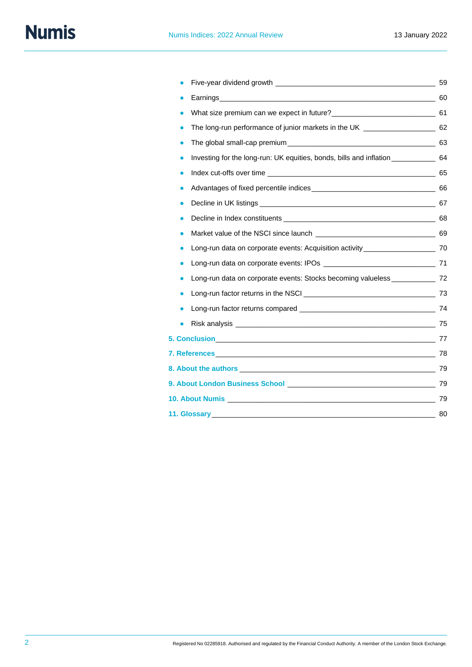# **Numis**

|                                                                                     | 59 |
|-------------------------------------------------------------------------------------|----|
|                                                                                     |    |
|                                                                                     |    |
| The long-run performance of junior markets in the UK _________________________ 62   |    |
| $\bullet$                                                                           |    |
| Investing for the long-run: UK equities, bonds, bills and inflation ____________ 64 |    |
|                                                                                     |    |
| $\bullet$                                                                           |    |
|                                                                                     |    |
|                                                                                     |    |
|                                                                                     |    |
| Long-run data on corporate events: Acquisition activity ________________________ 70 |    |
|                                                                                     |    |
| Long-run data on corporate events: Stocks becoming valueless _____________ 72       |    |
|                                                                                     |    |
|                                                                                     |    |
|                                                                                     |    |
|                                                                                     |    |
|                                                                                     |    |
|                                                                                     |    |
|                                                                                     |    |
|                                                                                     |    |
|                                                                                     |    |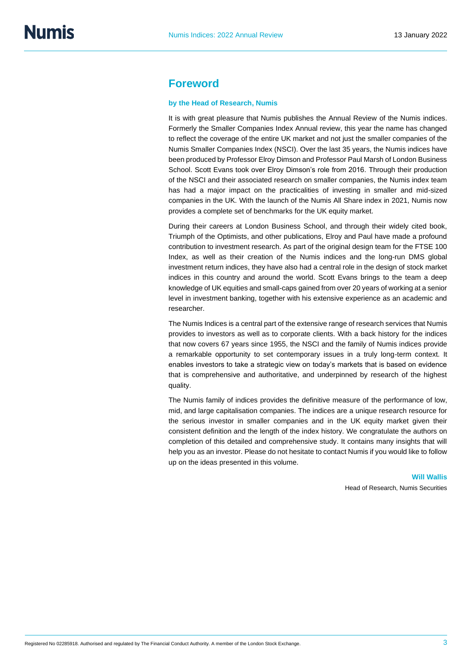## **Foreword**

#### **by the Head of Research, Numis**

It is with great pleasure that Numis publishes the Annual Review of the Numis indices. Formerly the Smaller Companies Index Annual review, this year the name has changed to reflect the coverage of the entire UK market and not just the smaller companies of the Numis Smaller Companies Index (NSCI). Over the last 35 years, the Numis indices have been produced by Professor Elroy Dimson and Professor Paul Marsh of London Business School. Scott Evans took over Elroy Dimson's role from 2016. Through their production of the NSCI and their associated research on smaller companies, the Numis index team has had a major impact on the practicalities of investing in smaller and mid-sized companies in the UK. With the launch of the Numis All Share index in 2021, Numis now provides a complete set of benchmarks for the UK equity market.

During their careers at London Business School, and through their widely cited book, Triumph of the Optimists, and other publications, Elroy and Paul have made a profound contribution to investment research. As part of the original design team for the FTSE 100 Index, as well as their creation of the Numis indices and the long-run DMS global investment return indices, they have also had a central role in the design of stock market indices in this country and around the world. Scott Evans brings to the team a deep knowledge of UK equities and small-caps gained from over 20 years of working at a senior level in investment banking, together with his extensive experience as an academic and researcher.

The Numis Indices is a central part of the extensive range of research services that Numis provides to investors as well as to corporate clients. With a back history for the indices that now covers 67 years since 1955, the NSCI and the family of Numis indices provide a remarkable opportunity to set contemporary issues in a truly long-term context. It enables investors to take a strategic view on today's markets that is based on evidence that is comprehensive and authoritative, and underpinned by research of the highest quality.

The Numis family of indices provides the definitive measure of the performance of low, mid, and large capitalisation companies. The indices are a unique research resource for the serious investor in smaller companies and in the UK equity market given their consistent definition and the length of the index history. We congratulate the authors on completion of this detailed and comprehensive study. It contains many insights that will help you as an investor. Please do not hesitate to contact Numis if you would like to follow up on the ideas presented in this volume.

> **Will Wallis** Head of Research, Numis Securities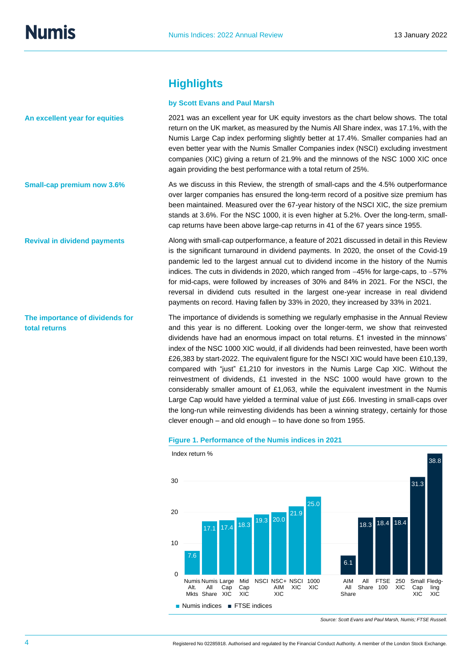**An excellent year for equities**

**Small-cap premium now 3.6%**

**Revival in dividend payments**

**The importance of dividends for** 

**total returns**

# **Highlights**

### **by Scott Evans and Paul Marsh**

2021 was an excellent year for UK equity investors as the chart below shows. The total return on the UK market, as measured by the Numis All Share index, was 17.1%, with the Numis Large Cap index performing slightly better at 17.4%. Smaller companies had an even better year with the Numis Smaller Companies index (NSCI) excluding investment companies (XIC) giving a return of 21.9% and the minnows of the NSC 1000 XIC once again providing the best performance with a total return of 25%.

As we discuss in this Review, the strength of small-caps and the 4.5% outperformance over larger companies has ensured the long-term record of a positive size premium has been maintained. Measured over the 67-year history of the NSCI XIC, the size premium stands at 3.6%. For the NSC 1000, it is even higher at 5.2%. Over the long-term, smallcap returns have been above large-cap returns in 41 of the 67 years since 1955.

Along with small-cap outperformance, a feature of 2021 discussed in detail in this Review is the significant turnaround in dividend payments. In 2020, the onset of the Covid-19 pandemic led to the largest annual cut to dividend income in the history of the Numis indices. The cuts in dividends in 2020, which ranged from −45% for large-caps, to −57% for mid-caps, were followed by increases of 30% and 84% in 2021. For the NSCI, the reversal in dividend cuts resulted in the largest one-year increase in real dividend payments on record. Having fallen by 33% in 2020, they increased by 33% in 2021.

The importance of dividends is something we regularly emphasise in the Annual Review and this year is no different. Looking over the longer-term, we show that reinvested dividends have had an enormous impact on total returns. £1 invested in the minnows' index of the NSC 1000 XIC would, if all dividends had been reinvested, have been worth £26,383 by start-2022. The equivalent figure for the NSCI XIC would have been £10,139, compared with "just" £1,210 for investors in the Numis Large Cap XIC. Without the reinvestment of dividends, £1 invested in the NSC 1000 would have grown to the considerably smaller amount of £1,063, while the equivalent investment in the Numis Large Cap would have yielded a terminal value of just £66. Investing in small-caps over the long-run while reinvesting dividends has been a winning strategy, certainly for those clever enough – and old enough – to have done so from 1955.

#### **Figure 1. Performance of the Numis indices in 2021**



*Source: Scott Evans and Paul Marsh, Numis; FTSE Russell.*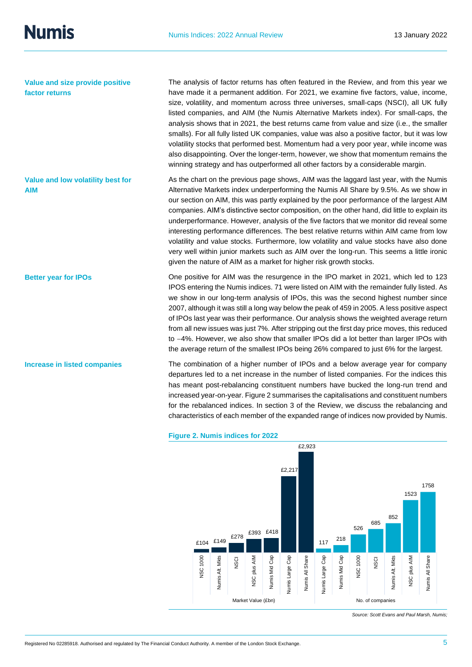**Value and size provide positive factor returns**

**Better year for IPOs**

**Increase in listed companies**

The analysis of factor returns has often featured in the Review, and from this year we have made it a permanent addition. For 2021, we examine five factors, value, income, size, volatility, and momentum across three universes, small-caps (NSCI), all UK fully listed companies, and AIM (the Numis Alternative Markets index). For small-caps, the analysis shows that in 2021, the best returns came from value and size (i.e., the smaller smalls). For all fully listed UK companies, value was also a positive factor, but it was low volatility stocks that performed best. Momentum had a very poor year, while income was also disappointing. Over the longer-term, however, we show that momentum remains the winning strategy and has outperformed all other factors by a considerable margin.

As the chart on the previous page shows, AIM was the laggard last year, with the Numis Alternative Markets index underperforming the Numis All Share by 9.5%. As we show in our section on AIM, this was partly explained by the poor performance of the largest AIM companies. AIM's distinctive sector composition, on the other hand, did little to explain its underperformance. However, analysis of the five factors that we monitor did reveal some interesting performance differences. The best relative returns within AIM came from low volatility and value stocks. Furthermore, low volatility and value stocks have also done very well within junior markets such as AIM over the long-run. This seems a little ironic given the nature of AIM as a market for higher risk growth stocks. **Value and low volatility best for AIM**

> One positive for AIM was the resurgence in the IPO market in 2021, which led to 123 IPOS entering the Numis indices. 71 were listed on AIM with the remainder fully listed. As we show in our long-term analysis of IPOs, this was the second highest number since 2007, although it was still a long way below the peak of 459 in 2005. A less positive aspect of IPOs last year was their performance. Our analysis shows the weighted average return from all new issues was just 7%. After stripping out the first day price moves, this reduced to −4%. However, we also show that smaller IPOs did a lot better than larger IPOs with the average return of the smallest IPOs being 26% compared to just 6% for the largest.

> The combination of a higher number of IPOs and a below average year for company departures led to a net increase in the number of listed companies. For the indices this has meant post-rebalancing constituent numbers have bucked the long-run trend and increased year-on-year. Figure 2 summarises the capitalisations and constituent numbers for the rebalanced indices. In section 3 of the Review, we discuss the rebalancing and characteristics of each member of the expanded range of indices now provided by Numis.



#### **Figure 2. Numis indices for 2022**

*Source: Scott Evans and Paul Marsh, Numis;*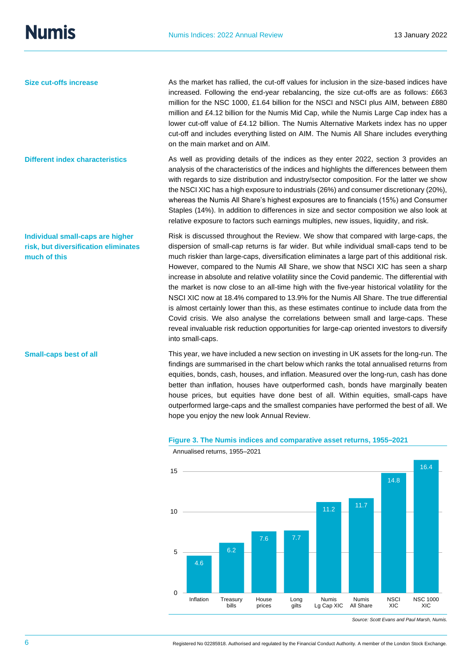**Size cut-offs increase**

**Different index characteristics**

**Individual small-caps are higher risk, but diversification eliminates** 

**much of this**

**Small-caps best of all**

As the market has rallied, the cut-off values for inclusion in the size-based indices have increased. Following the end-year rebalancing, the size cut-offs are as follows: £663 million for the NSC 1000, £1.64 billion for the NSCI and NSCI plus AIM, between £880 million and £4.12 billion for the Numis Mid Cap, while the Numis Large Cap index has a lower cut-off value of £4.12 billion. The Numis Alternative Markets index has no upper cut-off and includes everything listed on AIM. The Numis All Share includes everything on the main market and on AIM.

As well as providing details of the indices as they enter 2022, section 3 provides an analysis of the characteristics of the indices and highlights the differences between them with regards to size distribution and industry/sector composition. For the latter we show the NSCI XIC has a high exposure to industrials (26%) and consumer discretionary (20%), whereas the Numis All Share's highest exposures are to financials (15%) and Consumer Staples (14%). In addition to differences in size and sector composition we also look at relative exposure to factors such earnings multiples, new issues, liquidity, and risk.

Risk is discussed throughout the Review. We show that compared with large-caps, the dispersion of small-cap returns is far wider. But while individual small-caps tend to be much riskier than large-caps, diversification eliminates a large part of this additional risk. However, compared to the Numis All Share, we show that NSCI XIC has seen a sharp increase in absolute and relative volatility since the Covid pandemic. The differential with the market is now close to an all-time high with the five-year historical volatility for the NSCI XIC now at 18.4% compared to 13.9% for the Numis All Share. The true differential is almost certainly lower than this, as these estimates continue to include data from the Covid crisis. We also analyse the correlations between small and large-caps. These reveal invaluable risk reduction opportunities for large-cap oriented investors to diversify into small-caps.

This year, we have included a new section on investing in UK assets for the long-run. The findings are summarised in the chart below which ranks the total annualised returns from equities, bonds, cash, houses, and inflation. Measured over the long-run, cash has done better than inflation, houses have outperformed cash, bonds have marginally beaten house prices, but equities have done best of all. Within equities, small-caps have outperformed large-caps and the smallest companies have performed the best of all. We hope you enjoy the new look Annual Review.

#### **Figure 3. The Numis indices and comparative asset returns, 1955–2021**



Annualised returns, 1955–2021

*Source: Scott Evans and Paul Marsh, Numis.*